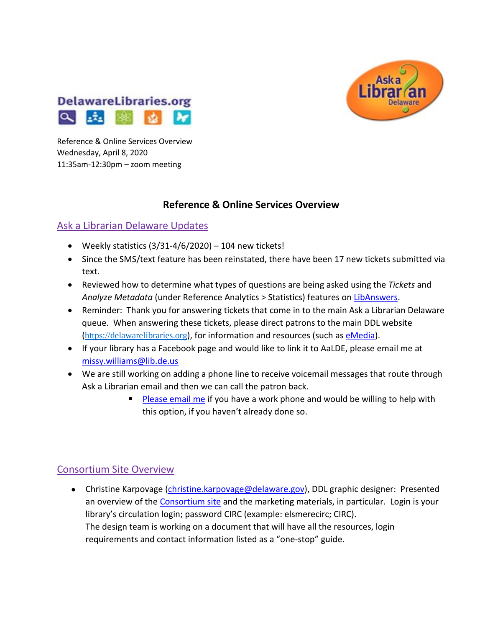



Reference & Online Services Overview Wednesday, April 8, 2020 11:35am-12:30pm – zoom meeting

#### **Reference & Online Services Overview**

#### Ask a Librarian Delaware Updates

- Weekly statistics  $(3/31-4/6/2020) 104$  new tickets!
- Since the SMS/text feature has been reinstated, there have been 17 new tickets submitted via text.
- Reviewed how to determine what types of questions are being asked using the *Tickets* and *Analyze Metadata* (under Reference Analytics > Statistics) features o[n LibAnswers.](https://answers.delawarelibraries.org/admin/home?m=queue&view=0&lasource=0&status=-1&claimed%5B%5D=-1)
- Reminder: Thank you for answering tickets that come in to the main Ask a Librarian Delaware queue. When answering these tickets, please direct patrons to the main DDL website ([https://delawarelibraries.org](https://delawarelibraries.org/)), for information and resources (such as [eMedia\)](https://lib.de.us/emedia/).
- If your library has a Facebook page and would like to link it to AaLDE, please email me at [missy.williams@lib.de.us](mailto:missy.williams@lib.de.us)
- We are still working on adding a phone line to receive voicemail messages that route through Ask a Librarian email and then we can call the patron back.
	- [Please email me](mailto:missy.williams@lib.de.us) if you have a work phone and would be willing to help with this option, if you haven't already done so.

#### Consortium Site Overview

• Christine Karpovage [\(christine.karpovage@delaware.gov\)](mailto:christine.karpovage@delaware.gov), DDL graphic designer: Presented an overview of the [Consortium site](https://consortium.lib.de.us/) and the marketing materials, in particular. Login is your library's circulation login; password CIRC (example: elsmerecirc; CIRC). The design team is working on a document that will have all the resources, login requirements and contact information listed as a "one-stop" guide.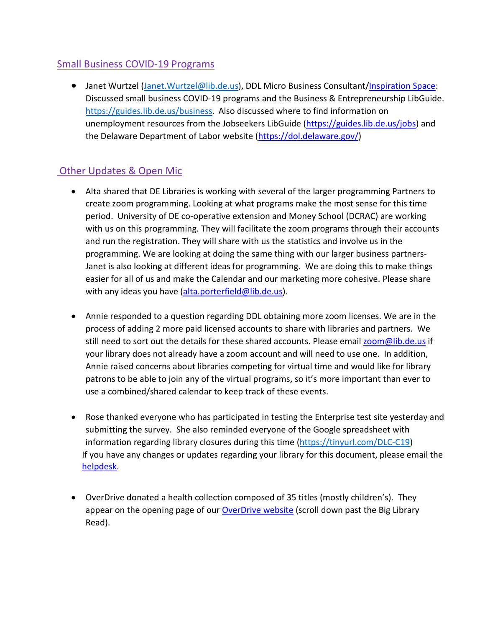## Small Business COVID-19 Programs

• Janet Wurtzel (Janet. Wurtzel@lib.de.us), DDL Micro Business Consultant[/Inspiration Space:](https://lib.de.us/is/) Discussed small business COVID-19 programs and the Business & Entrepreneurship LibGuide. [https://guides.lib.de.us/business.](https://guides.lib.de.us/business) Also discussed where to find information on unemployment resources from the Jobseekers LibGuide [\(https://guides.lib.de.us/jobs\)](https://guides.lib.de.us/jobs) and the Delaware Department of Labor website [\(https://dol.delaware.gov/\)](https://dol.delaware.gov/)

## Other Updates & Open Mic

- Alta shared that DE Libraries is working with several of the larger programming Partners to create zoom programming. Looking at what programs make the most sense for this time period. University of DE co-operative extension and Money School (DCRAC) are working with us on this programming. They will facilitate the zoom programs through their accounts and run the registration. They will share with us the statistics and involve us in the programming. We are looking at doing the same thing with our larger business partners-Janet is also looking at different ideas for programming. We are doing this to make things easier for all of us and make the Calendar and our marketing more cohesive. Please share with any ideas you have [\(alta.porterfield@lib.de.us\)](mailto:alta.porterfield@lib.de.us).
- Annie responded to a question regarding DDL obtaining more zoom licenses. We are in the process of adding 2 more paid licensed accounts to share with libraries and partners. We still need to sort out the details for these shared accounts. Please emai[l zoom@lib.de.us](mailto:zoom@lib.de.us) if your library does not already have a zoom account and will need to use one. In addition, Annie raised concerns about libraries competing for virtual time and would like for library patrons to be able to join any of the virtual programs, so it's more important than ever to use a combined/shared calendar to keep track of these events.
- Rose thanked everyone who has participated in testing the Enterprise test site yesterday and submitting the survey. She also reminded everyone of the Google spreadsheet with information regarding library closures during this time [\(https://tinyurl.com/DLC-C19\)](https://tinyurl.com/DLC-C19) If you have any changes or updates regarding your library for this document, please email the [helpdesk.](mailto:helpdesk@lib.de.us)
- OverDrive donated a health collection composed of 35 titles (mostly children's). They appear on the opening page of our [OverDrive website](https://delaware.overdrive.com/) (scroll down past the Big Library Read).